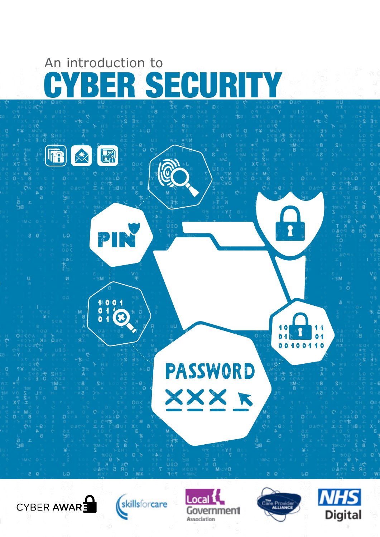# BER SECURITY An introduction to

迷人

UA

 $\left(\overline{\mathbf{R}}\right)$ 

PIN üīb τó  $\frac{1001}{016}$  $0<sub>4</sub>$ **PASSWORD** XXX K

CYBER AWARE







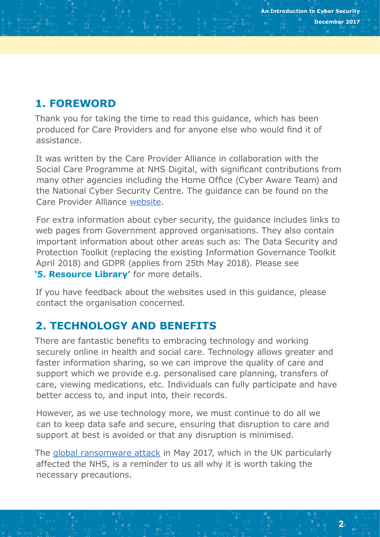# **1. FOREWORD**

Thank you for taking the time to read this guidance, which has been produced for Care Providers and for anyone else who would find it of assistance.

It was written by the Care Provider Alliance in collaboration with the Social Care Programme at NHS Digital, with significant contributions from many other agencies including the Home Office (Cyber Aware Team) and the National Cyber Security Centre. The guidance can be found on the Care Provider Alliance [website](http://www.careprovideralliance.org.uk/).

For extra information about cyber security, the guidance includes links to web pages from Government approved organisations. They also contain important information about other areas such as: The Data Security and Protection Toolkit (replacing the existing Information Governance Toolkit April 2018) and GDPR (applies from 25th May 2018). Please see **'5. Resource Library'** for more details.

If you have feedback about the websites used in this guidance, please contact the organisation concerned.

# **2. TECHNOLOGY AND BENEFITS**

There are fantastic benefits to embracing technology and working securely online in health and social care. Technology allows greater and faster information sharing, so we can improve the quality of care and support which we provide e.g. personalised care planning, transfers of care, viewing medications, etc. Individuals can fully participate and have better access to, and input into, their records.

However, as we use technology more, we must continue to do all we can to keep data safe and secure, ensuring that disruption to care and support at best is avoided or that any disruption is minimised.

The [global ransomware attack](https://www.nao.org.uk/report/investigation-wannacry-cyber-attack-and-the-nhs/) in May 2017, which in the UK particularly affected the NHS, is a reminder to us all why it is worth taking the necessary precautions.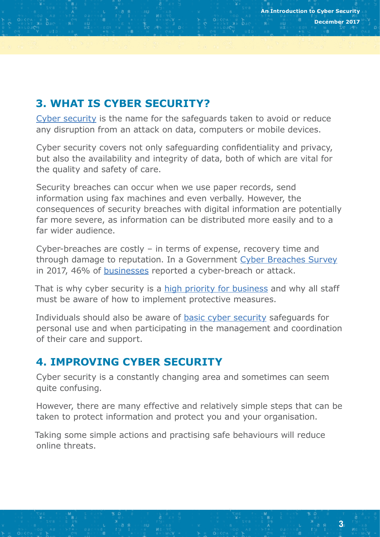# **3. WHAT IS CYBER SECURITY?**

[Cyber security](https://www.cyberaware.gov.uk/) is the name for the safeguards taken to avoid or reduce any disruption from an attack on data, computers or mobile devices.

Cyber security covers not only safeguarding confidentiality and privacy, but also the availability and integrity of data, both of which are vital for the quality and safety of care.

Security breaches can occur when we use paper records, send information using fax machines and even verbally. However, the consequences of security breaches with digital information are potentially far more severe, as information can be distributed more easily and to a far wider audience.

Cyber-breaches are costly – in terms of expense, recovery time and through damage to reputation. In a Government [Cyber Breaches Survey](https://www.gov.uk/government/statistics/cyber-security-breaches-survey-2017) in 2017, 46% of [businesses](https://www.ncsc.gov.uk/smallbusiness) reported a cyber-breach or attack.

That is why cyber security is a [high priority for business](https://www.getsafeonline.org/business/) and why all staff must be aware of how to implement protective measures.

Individuals should also be aware of [basic cyber security](https://www.getsafeonline.org/new-to-internet/) safeguards for personal use and when participating in the management and coordination of their care and support.

## **4. IMPROVING CYBER SECURITY**

Cyber security is a constantly changing area and sometimes can seem quite confusing.

However, there are many effective and relatively simple steps that can be taken to protect information and protect you and your organisation.

Taking some simple actions and practising safe behaviours will reduce online threats.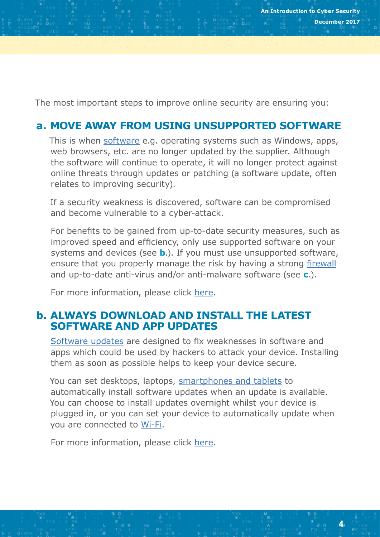The most important steps to improve online security are ensuring you:

## **a. MOVE AWAY FROM USING UNSUPPORTED SOFTWARE**

This is when [software](https://www.getsafeonline.org/software/) e.g. operating systems such as Windows, apps, web browsers, etc. are no longer updated by the supplier. Although the software will continue to operate, it will no longer protect against online threats through updates or patching (a software update, often relates to improving security).

If a security weakness is discovered, software can be compromised and become vulnerable to a cyber-attack.

For benefits to be gained from up-to-date security measures, such as improved speed and efficiency, only use supported software on your systems and devices (see **b**.). If you must use unsupported software, ensure that you properly manage the risk by having a strong [firewall](https://www.getsafeonline.org/online-safety-and-security/firewalls/) and up-to-date anti-virus and/or anti-malware software (see **c**.).

For more information, please click [here.](https://www.getsafeonline.org/protecting-your-computer/)

## **b. ALWAYS DOWNLOAD AND INSTALL THE LATEST SOFTWARE AND APP UPDATES**

[Software updates](https://www.cyberaware.gov.uk/software-updates) are designed to fix weaknesses in software and apps which could be used by hackers to attack your device. Installing them as soon as possible helps to keep your device secure.

You can set desktops, laptops, [smartphones and tablets](https://www.ncsc.gov.uk/guidance/keeping-your-smartphones-and-tablets-safe) to automatically install software updates when an update is available. You can choose to install updates overnight whilst your device is plugged in, or you can set your device to automatically update when you are connected to [Wi-Fi](https://www.getsafeonline.org/online-safety-and-security/wi-fi/).

For more information, please click [here.](https://www.getsafeonline.org/protecting-your-computer/software-updates/)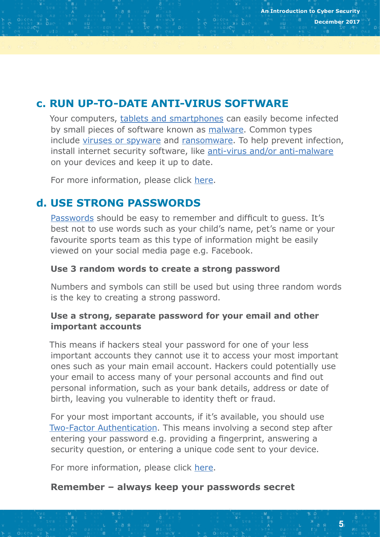## **c. RUN UP-TO-DATE ANTI-VIRUS SOFTWARE**

Your computers, [tablets and smartphones](https://www.getsafeonline.org/smartphones-tablets/viruses-and-spyware-st/) can easily become infected by small pieces of software known as [malware](https://www.getsafeonline.org/online-safety-and-security/anti-malware/). Common types include [viruses or spyware](https://www.getsafeonline.org/protecting-yourself/viruses-and-spyware/) and [ransomware.](https://www.getsafeonline.org/protecting-yourself/ransomware/) To help prevent infection, install internet security software, like [anti-virus and/or anti-malware](https://digital.nhs.uk/cyber-security/policy-and-good-practice-in-health-care/anti-virus-and-malware-guidance) on your devices and keep it up to date.

For more information, please click [here.](https://www.ncsc.gov.uk/guidance/protecting-your-organisation-malware)

## **d. USE STRONG PASSWORDS**

[Passwords](https://www.cyberaware.gov.uk/passwords) should be easy to remember and difficult to guess. It's best not to use words such as your child's name, pet's name or your favourite sports team as this type of information might be easily viewed on your social media page e.g. Facebook.

#### **Use 3 random words to create a strong password**

Numbers and symbols can still be used but using three random words is the key to creating a strong password.

#### **Use a strong, separate password for your email and other important accounts**

This means if hackers steal your password for one of your less important accounts they cannot use it to access your most important ones such as your main email account. Hackers could potentially use your email to access many of your personal accounts and find out personal information, such as your bank details, address or date of birth, leaving you vulnerable to identity theft or fraud.

For your most important accounts, if it's available, you should use [Two-Factor Authentication](https://www.ncsc.gov.uk/guidance/using-passwords-protect-your-data). This means involving a second step after entering your password e.g. providing a fingerprint, answering a security question, or entering a unique code sent to your device.

For more information, please click [here.](https://www.getsafeonline.org/information-security/password-protocol-and-control/)

#### **Remember – always keep your passwords secret**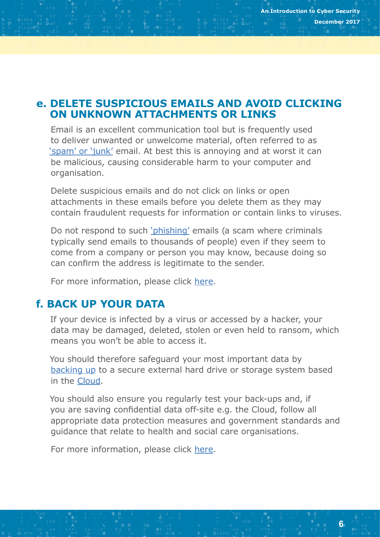### **e. DELETE SUSPICIOUS EMAILS AND AVOID CLICKING ON UNKNOWN ATTACHMENTS OR LINKS**

Email is an excellent communication tool but is frequently used to deliver unwanted or unwelcome material, often referred to as ['spam' or 'junk'](https://www.getsafeonline.org/protecting-yourself/spam-and-scam-email/) email. At best this is annoying and at worst it can be malicious, causing considerable harm to your computer and organisation.

Delete suspicious emails and do not click on links or open attachments in these emails before you delete them as they may contain fraudulent requests for information or contain links to viruses.

Do not respond to such ['phishing'](https://www.ncsc.gov.uk/guidance/avoiding-phishing-attacks) emails (a scam where criminals typically send emails to thousands of people) even if they seem to come from a company or person you may know, because doing so can confirm the address is legitimate to the sender.

For more information, please click [here.](https://www.cyberaware.gov.uk/sharing-data)

## **f. BACK UP YOUR DATA**

If your device is infected by a virus or accessed by a hacker, your data may be damaged, deleted, stolen or even held to ransom, which means you won't be able to access it.

You should therefore safeguard your most important data by [backing up](https://www.getsafeonline.org/protecting-your-computer/Backups/) to a secure external hard drive or storage system based in the [Cloud](https://www.getsafeonline.org/ways-you-work/the-cloud/).

You should also ensure you regularly test your back-ups and, if you are saving confidential data off-site e.g. the Cloud, follow all appropriate data protection measures and government standards and guidance that relate to health and social care organisations.

For more information, please click [here.](https://www.ncsc.gov.uk/guidance/backing-your-data)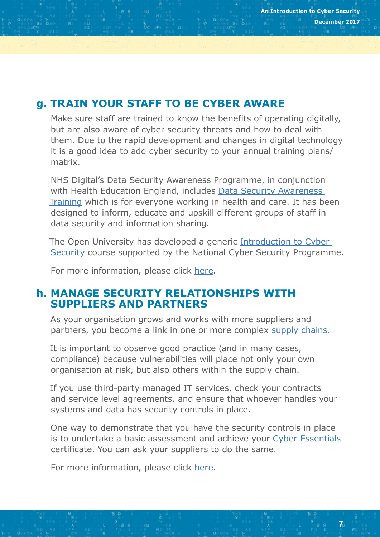## **g. TRAIN YOUR STAFF TO BE CYBER AWARE**

Make sure staff are trained to know the benefits of operating digitally, but are also aware of cyber security threats and how to deal with them. Due to the rapid development and changes in digital technology it is a good idea to add cyber security to your annual training plans/ matrix.

NHS Digital's Data Security Awareness Programme, in conjunction with Health Education England, includes [Data Security Awareness](https://www.e-lfh.org.uk/programmes/data-security-awareness/)  [Training](https://www.e-lfh.org.uk/programmes/data-security-awareness/) which is for everyone working in health and care. It has been designed to inform, educate and upskill different groups of staff in data security and information sharing.

The Open University has developed a generic [Introduction to Cyber](https://www.futurelearn.com/courses/introduction-to-cyber-security)  [Security](https://www.futurelearn.com/courses/introduction-to-cyber-security) course supported by the National Cyber Security Programme.

For more information, please click [here.](https://www.getsafeonline.org/businesses/staff-training/)

## **h. MANAGE SECURITY RELATIONSHIPS WITH SUPPLIERS AND PARTNERS**

As your organisation grows and works with more suppliers and partners, you become a link in one or more complex [supply chains.](https://www.getsafeonline.org/ways-you-work/supply-chain/)

It is important to observe good practice (and in many cases, compliance) because vulnerabilities will place not only your own organisation at risk, but also others within the supply chain.

If you use third-party managed IT services, check your contracts and service level agreements, and ensure that whoever handles your systems and data has security controls in place.

One way to demonstrate that you have the security controls in place is to undertake a basic assessment and achieve your [Cyber Essentials](https://www.cyberessentials.ncsc.gov.uk/) certificate. You can ask your suppliers to do the same.

For more information, please click [here.](https://digital.nhs.uk/cyber-security/policy-and-good-practice-in-health-care/supply-chain)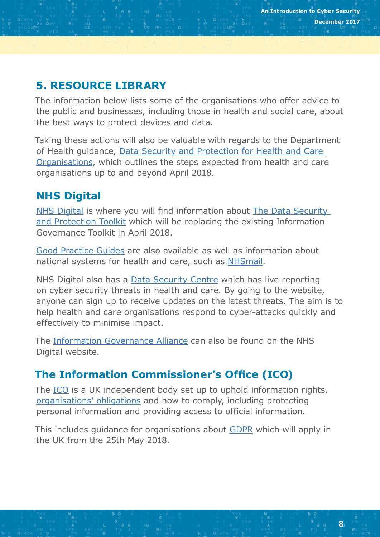# **5. RESOURCE LIBRARY**

The information below lists some of the organisations who offer advice to the public and businesses, including those in health and social care, about the best ways to protect devices and data.

Taking these actions will also be valuable with regards to the Department of Health guidance, [Data Security and Protection for Health and Care](https://www.gov.uk/government/publications/data-security-and-protection-for-health-and-care-organisations)  [Organisations](https://www.gov.uk/government/publications/data-security-and-protection-for-health-and-care-organisations), which outlines the steps expected from health and care organisations up to and beyond April 2018.

# **NHS Digital**

[NHS Digital](https://digital.nhs.uk/article/364/Looking-after-information) is where you will find information about [The Data Security](https://uat.igt.hscic.gov.uk/CCA/)  [and Protection Toolkit](https://uat.igt.hscic.gov.uk/CCA/) which will be replacing the existing Information Governance Toolkit in April 2018.

[Good Practice Guides](https://digital.nhs.uk/cyber-security/policy-and-good-practice-in-health-care#p) are also available as well as information about national systems for health and care, such as [NHSmail](https://digital.nhs.uk/nhsmail).

NHS Digital also has a **Data Security Centre** which has live reporting on cyber security threats in health and care. By going to the website, anyone can sign up to receive updates on the latest threats. The aim is to help health and care organisations respond to cyber-attacks quickly and effectively to minimise impact.

The [Information Governance Alliance](https://digital.nhs.uk/information-governance-alliance) can also be found on the NHS Digital website.

# **The Information Commissioner's Office (ICO)**

The [ICO](https://ico.org.uk/for-organisations/) is a UK independent body set up to uphold information rights, [organisations' obligations](https://ico.org.uk/for-organisations/) and how to comply, including protecting personal information and providing access to official information.

This includes guidance for organisations about [GDPR](https://ico.org.uk/for-organisations/data-protection-reform/) which will apply in the UK from the 25th May 2018.